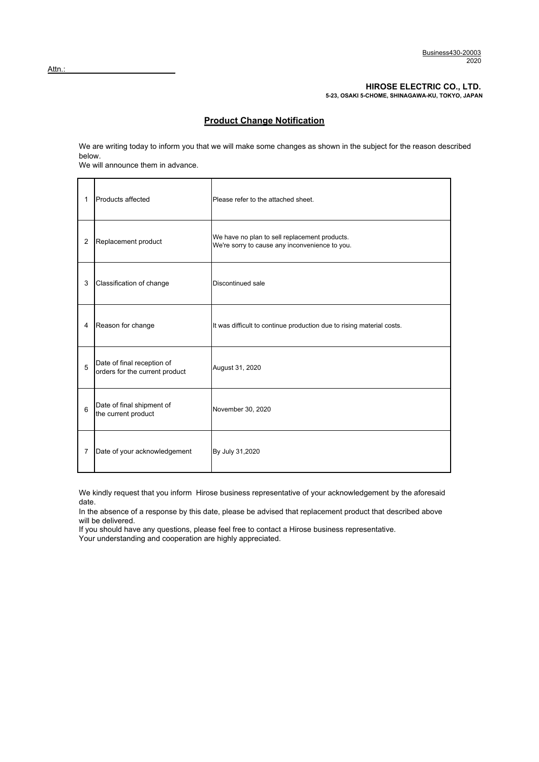#### **HIROSE ELECTRIC CO., LTD.**

**5-23, OSAKI 5-CHOME, SHINAGAWA-KU, TOKYO, JAPAN**

### **Product Change Notification**

We are writing today to inform you that we will make some changes as shown in the subject for the reason described below.

We will announce them in advance.

| 1              | Products affected                                            | Please refer to the attached sheet.                                                             |  |
|----------------|--------------------------------------------------------------|-------------------------------------------------------------------------------------------------|--|
| $\overline{2}$ | Replacement product                                          | We have no plan to sell replacement products.<br>We're sorry to cause any inconvenience to you. |  |
| 3              | Classification of change                                     | Discontinued sale                                                                               |  |
| 4              | Reason for change                                            | It was difficult to continue production due to rising material costs.                           |  |
| 5              | Date of final reception of<br>orders for the current product | August 31, 2020                                                                                 |  |
| 6              | Date of final shipment of<br>the current product             | November 30, 2020                                                                               |  |
| $\overline{7}$ | Date of your acknowledgement                                 | By July 31,2020                                                                                 |  |

We kindly request that you inform Hirose business representative of your acknowledgement by the aforesaid date.

In the absence of a response by this date, please be advised that replacement product that described above will be delivered.

If you should have any questions, please feel free to contact a Hirose business representative.

Your understanding and cooperation are highly appreciated.

 $Attn.$ :</u>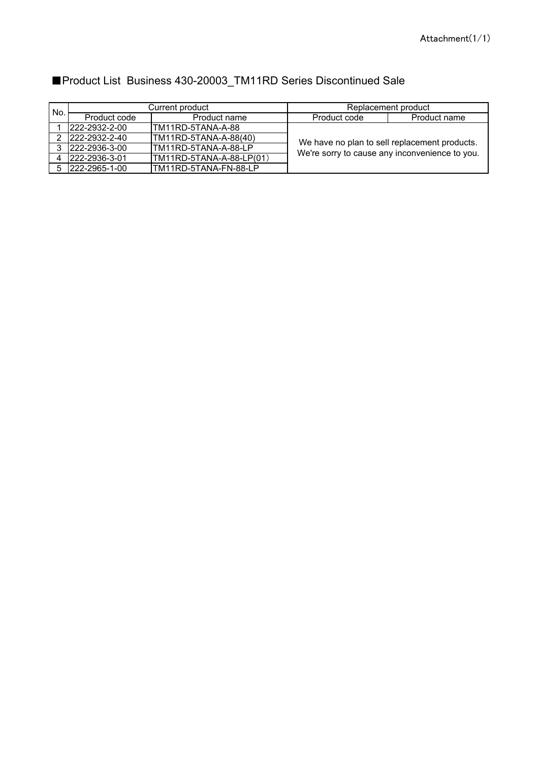| No. | Current product        |                          | Replacement product                            |              |
|-----|------------------------|--------------------------|------------------------------------------------|--------------|
|     | Product code           | Product name             | Product code                                   | Product name |
|     | $1222 - 2932 - 2 - 00$ | ITM11RD-5TANA-A-88       |                                                |              |
|     | 2 222-2932-2-40        | TM11RD-5TANA-A-88(40)    | We have no plan to sell replacement products.  |              |
| 3   | 222-2936-3-00          | TM11RD-5TANA-A-88-LP     | We're sorry to cause any inconvenience to you. |              |
|     | 222-2936-3-01          | TM11RD-5TANA-A-88-LP(01) |                                                |              |
|     | 5 222-2965-1-00        | TM11RD-5TANA-FN-88-LP    |                                                |              |

# ■Product List Business 430-20003\_TM11RD Series Discontinued Sale